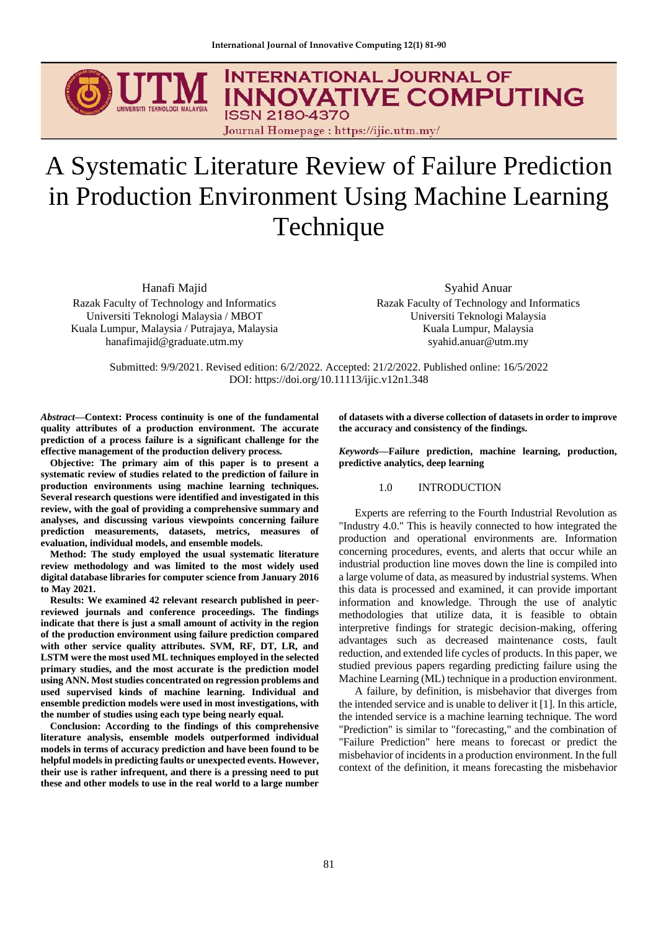

# A Systematic Literature Review of Failure Prediction in Production Environment Using Machine Learning Technique

Hanafi Majid

Razak Faculty of Technology and Informatics Universiti Teknologi Malaysia / MBOT Kuala Lumpur, Malaysia / Putrajaya, Malaysia hanafimajid@graduate.utm.my

Syahid Anuar Razak Faculty of Technology and Informatics Universiti Teknologi Malaysia Kuala Lumpur, Malaysia syahid.anuar@utm.my

Submitted: 9/9/2021. Revised edition: 6/2/2022. Accepted: 21/2/2022. Published online: 16/5/2022 DOI: https://doi.org/10.11113/ijic.v12n1.348

*Abstract***—Context: Process continuity is one of the fundamental quality attributes of a production environment. The accurate prediction of a process failure is a significant challenge for the effective management of the production delivery process.** 

**Objective: The primary aim of this paper is to present a systematic review of studies related to the prediction of failure in production environments using machine learning techniques. Several research questions were identified and investigated in this review, with the goal of providing a comprehensive summary and analyses, and discussing various viewpoints concerning failure prediction measurements, datasets, metrics, measures of evaluation, individual models, and ensemble models.**

**Method: The study employed the usual systematic literature review methodology and was limited to the most widely used digital database libraries for computer science from January 2016 to May 2021.**

**Results: We examined 42 relevant research published in peerreviewed journals and conference proceedings. The findings indicate that there is just a small amount of activity in the region of the production environment using failure prediction compared with other service quality attributes. SVM, RF, DT, LR, and LSTM were the most used ML techniques employed in the selected primary studies, and the most accurate is the prediction model using ANN. Most studies concentrated on regression problems and used supervised kinds of machine learning. Individual and ensemble prediction models were used in most investigations, with the number of studies using each type being nearly equal.**

**Conclusion: According to the findings of this comprehensive literature analysis, ensemble models outperformed individual models in terms of accuracy prediction and have been found to be helpful models in predicting faults or unexpected events. However, their use is rather infrequent, and there is a pressing need to put these and other models to use in the real world to a large number** 

**of datasets with a diverse collection of datasets in order to improve the accuracy and consistency of the findings.**

*Keywords***—Failure prediction, machine learning, production, predictive analytics, deep learning**

# 1.0 INTRODUCTION

Experts are referring to the Fourth Industrial Revolution as "Industry 4.0." This is heavily connected to how integrated the production and operational environments are. Information concerning procedures, events, and alerts that occur while an industrial production line moves down the line is compiled into a large volume of data, as measured by industrial systems. When this data is processed and examined, it can provide important information and knowledge. Through the use of analytic methodologies that utilize data, it is feasible to obtain interpretive findings for strategic decision-making, offering advantages such as decreased maintenance costs, fault reduction, and extended life cycles of products. In this paper, we studied previous papers regarding predicting failure using the Machine Learning (ML) technique in a production environment.

A failure, by definition, is misbehavior that diverges from the intended service and is unable to deliver it [1]. In this article, the intended service is a machine learning technique. The word "Prediction" is similar to "forecasting," and the combination of "Failure Prediction" here means to forecast or predict the misbehavior of incidents in a production environment. In the full context of the definition, it means forecasting the misbehavior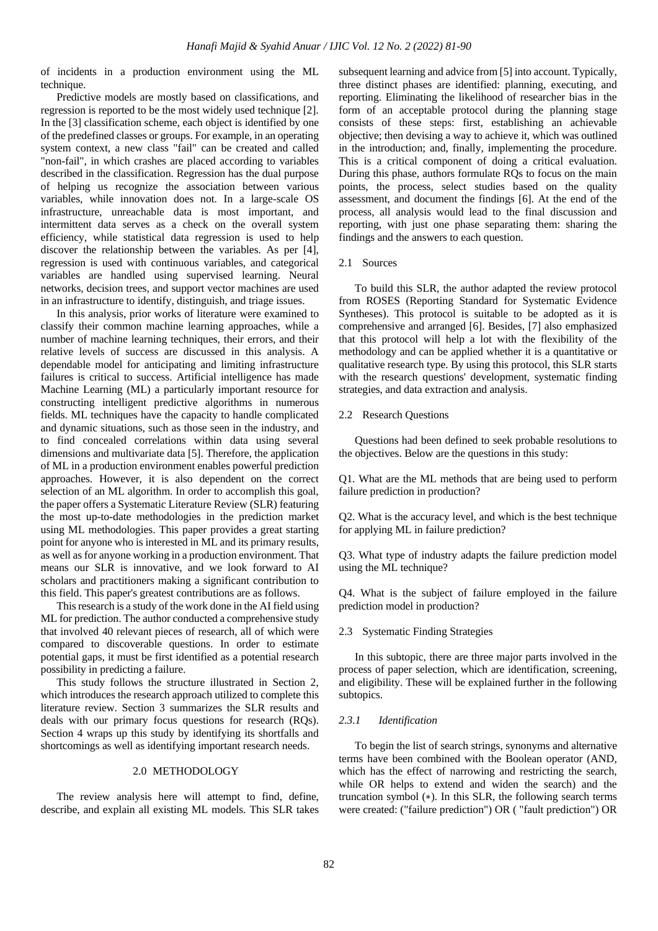of incidents in a production environment using the ML technique.

Predictive models are mostly based on classifications, and regression is reported to be the most widely used technique [2]. In the [3] classification scheme, each object is identified by one of the predefined classes or groups. For example, in an operating system context, a new class "fail" can be created and called "non-fail", in which crashes are placed according to variables described in the classification. Regression has the dual purpose of helping us recognize the association between various variables, while innovation does not. In a large-scale OS infrastructure, unreachable data is most important, and intermittent data serves as a check on the overall system efficiency, while statistical data regression is used to help discover the relationship between the variables. As per [4], regression is used with continuous variables, and categorical variables are handled using supervised learning. Neural networks, decision trees, and support vector machines are used in an infrastructure to identify, distinguish, and triage issues.

In this analysis, prior works of literature were examined to classify their common machine learning approaches, while a number of machine learning techniques, their errors, and their relative levels of success are discussed in this analysis. A dependable model for anticipating and limiting infrastructure failures is critical to success. Artificial intelligence has made Machine Learning (ML) a particularly important resource for constructing intelligent predictive algorithms in numerous fields. ML techniques have the capacity to handle complicated and dynamic situations, such as those seen in the industry, and to find concealed correlations within data using several dimensions and multivariate data [5]. Therefore, the application of ML in a production environment enables powerful prediction approaches. However, it is also dependent on the correct selection of an ML algorithm. In order to accomplish this goal, the paper offers a Systematic Literature Review (SLR) featuring the most up-to-date methodologies in the prediction market using ML methodologies. This paper provides a great starting point for anyone who is interested in ML and its primary results, as well as for anyone working in a production environment. That means our SLR is innovative, and we look forward to AI scholars and practitioners making a significant contribution to this field. This paper's greatest contributions are as follows.

This research is a study of the work done in the AI field using ML for prediction. The author conducted a comprehensive study that involved 40 relevant pieces of research, all of which were compared to discoverable questions. In order to estimate potential gaps, it must be first identified as a potential research possibility in predicting a failure.

This study follows the structure illustrated in Section 2, which introduces the research approach utilized to complete this literature review. Section 3 summarizes the SLR results and deals with our primary focus questions for research (RQs). Section 4 wraps up this study by identifying its shortfalls and shortcomings as well as identifying important research needs.

# 2.0 METHODOLOGY

The review analysis here will attempt to find, define, describe, and explain all existing ML models. This SLR takes subsequent learning and advice from [5] into account. Typically, three distinct phases are identified: planning, executing, and reporting. Eliminating the likelihood of researcher bias in the form of an acceptable protocol during the planning stage consists of these steps: first, establishing an achievable objective; then devising a way to achieve it, which was outlined in the introduction; and, finally, implementing the procedure. This is a critical component of doing a critical evaluation. During this phase, authors formulate RQs to focus on the main points, the process, select studies based on the quality assessment, and document the findings [6]. At the end of the process, all analysis would lead to the final discussion and reporting, with just one phase separating them: sharing the findings and the answers to each question.

# 2.1 Sources

To build this SLR, the author adapted the review protocol from ROSES (Reporting Standard for Systematic Evidence Syntheses). This protocol is suitable to be adopted as it is comprehensive and arranged [6]. Besides, [7] also emphasized that this protocol will help a lot with the flexibility of the methodology and can be applied whether it is a quantitative or qualitative research type. By using this protocol, this SLR starts with the research questions' development, systematic finding strategies, and data extraction and analysis.

## 2.2 Research Questions

Questions had been defined to seek probable resolutions to the objectives. Below are the questions in this study:

Q1. What are the ML methods that are being used to perform failure prediction in production?

Q2. What is the accuracy level, and which is the best technique for applying ML in failure prediction?

Q3. What type of industry adapts the failure prediction model using the ML technique?

Q4. What is the subject of failure employed in the failure prediction model in production?

## 2.3 Systematic Finding Strategies

In this subtopic, there are three major parts involved in the process of paper selection, which are identification, screening, and eligibility. These will be explained further in the following subtopics.

# *2.3.1 Identification*

To begin the list of search strings, synonyms and alternative terms have been combined with the Boolean operator (AND, which has the effect of narrowing and restricting the search, while OR helps to extend and widen the search) and the truncation symbol (∗). In this SLR, the following search terms were created: ("failure prediction") OR ( "fault prediction") OR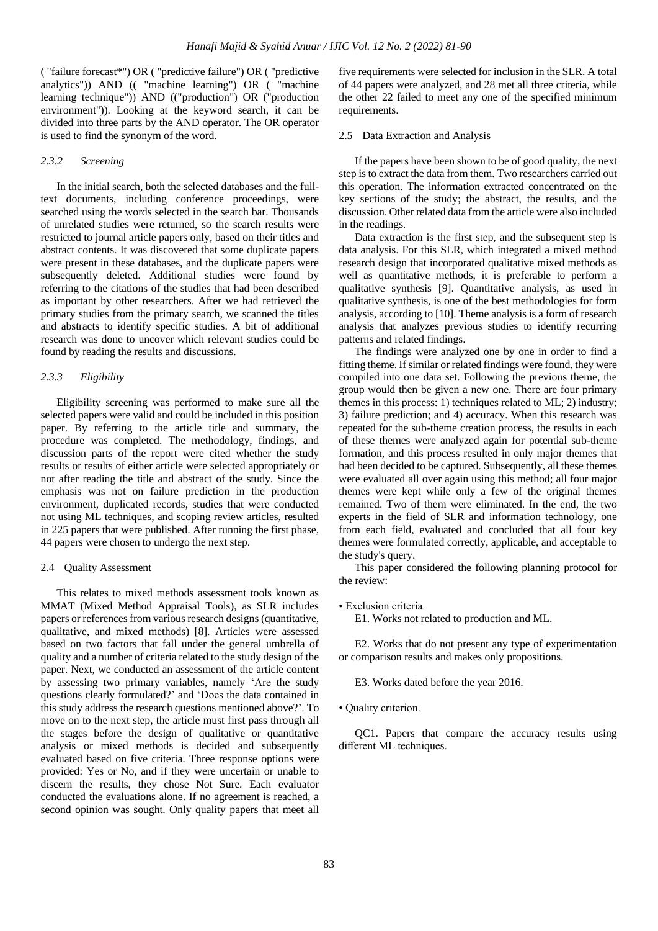( "failure forecast\*") OR ( "predictive failure") OR ( "predictive analytics")) AND (( "machine learning") OR ( "machine learning technique")) AND (("production") OR ("production environment")). Looking at the keyword search, it can be divided into three parts by the AND operator. The OR operator is used to find the synonym of the word.

## *2.3.2 Screening*

In the initial search, both the selected databases and the fulltext documents, including conference proceedings, were searched using the words selected in the search bar. Thousands of unrelated studies were returned, so the search results were restricted to journal article papers only, based on their titles and abstract contents. It was discovered that some duplicate papers were present in these databases, and the duplicate papers were subsequently deleted. Additional studies were found by referring to the citations of the studies that had been described as important by other researchers. After we had retrieved the primary studies from the primary search, we scanned the titles and abstracts to identify specific studies. A bit of additional research was done to uncover which relevant studies could be found by reading the results and discussions.

## *2.3.3 Eligibility*

Eligibility screening was performed to make sure all the selected papers were valid and could be included in this position paper. By referring to the article title and summary, the procedure was completed. The methodology, findings, and discussion parts of the report were cited whether the study results or results of either article were selected appropriately or not after reading the title and abstract of the study. Since the emphasis was not on failure prediction in the production environment, duplicated records, studies that were conducted not using ML techniques, and scoping review articles, resulted in 225 papers that were published. After running the first phase, 44 papers were chosen to undergo the next step.

#### 2.4 Quality Assessment

This relates to mixed methods assessment tools known as MMAT (Mixed Method Appraisal Tools), as SLR includes papers or references from various research designs (quantitative, qualitative, and mixed methods) [8]. Articles were assessed based on two factors that fall under the general umbrella of quality and a number of criteria related to the study design of the paper. Next, we conducted an assessment of the article content by assessing two primary variables, namely 'Are the study questions clearly formulated?' and 'Does the data contained in this study address the research questions mentioned above?'. To move on to the next step, the article must first pass through all the stages before the design of qualitative or quantitative analysis or mixed methods is decided and subsequently evaluated based on five criteria. Three response options were provided: Yes or No, and if they were uncertain or unable to discern the results, they chose Not Sure. Each evaluator conducted the evaluations alone. If no agreement is reached, a second opinion was sought. Only quality papers that meet all

five requirements were selected for inclusion in the SLR. A total of 44 papers were analyzed, and 28 met all three criteria, while the other 22 failed to meet any one of the specified minimum requirements.

#### 2.5 Data Extraction and Analysis

If the papers have been shown to be of good quality, the next step is to extract the data from them. Two researchers carried out this operation. The information extracted concentrated on the key sections of the study; the abstract, the results, and the discussion. Other related data from the article were also included in the readings.

Data extraction is the first step, and the subsequent step is data analysis. For this SLR, which integrated a mixed method research design that incorporated qualitative mixed methods as well as quantitative methods, it is preferable to perform a qualitative synthesis [9]. Quantitative analysis, as used in qualitative synthesis, is one of the best methodologies for form analysis, according to [10]. Theme analysis is a form of research analysis that analyzes previous studies to identify recurring patterns and related findings.

The findings were analyzed one by one in order to find a fitting theme. If similar or related findings were found, they were compiled into one data set. Following the previous theme, the group would then be given a new one. There are four primary themes in this process: 1) techniques related to ML; 2) industry; 3) failure prediction; and 4) accuracy. When this research was repeated for the sub-theme creation process, the results in each of these themes were analyzed again for potential sub-theme formation, and this process resulted in only major themes that had been decided to be captured. Subsequently, all these themes were evaluated all over again using this method; all four major themes were kept while only a few of the original themes remained. Two of them were eliminated. In the end, the two experts in the field of SLR and information technology, one from each field, evaluated and concluded that all four key themes were formulated correctly, applicable, and acceptable to the study's query.

This paper considered the following planning protocol for the review:

#### • Exclusion criteria

E1. Works not related to production and ML.

E2. Works that do not present any type of experimentation or comparison results and makes only propositions.

E3. Works dated before the year 2016.

• Quality criterion.

QC1. Papers that compare the accuracy results using different ML techniques.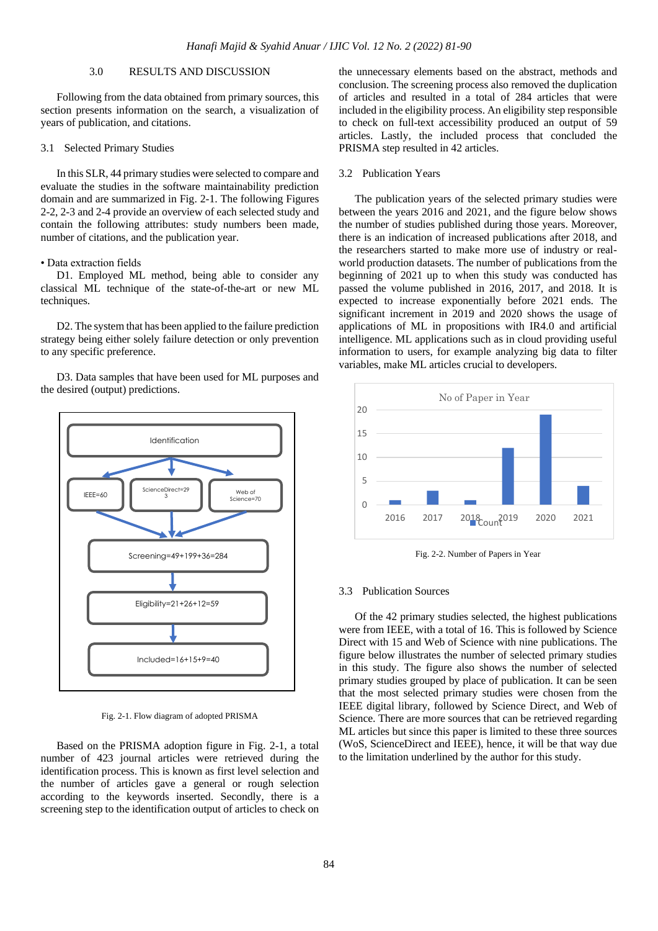# 3.0 RESULTS AND DISCUSSION

Following from the data obtained from primary sources, this section presents information on the search, a visualization of years of publication, and citations.

#### 3.1 Selected Primary Studies

In this SLR, 44 primary studies were selected to compare and evaluate the studies in the software maintainability prediction domain and are summarized in Fig. 2-1. The following Figures 2-2, 2-3 and 2-4 provide an overview of each selected study and contain the following attributes: study numbers been made, number of citations, and the publication year.

### • Data extraction fields

D1. Employed ML method, being able to consider any classical ML technique of the state-of-the-art or new ML techniques.

D2. The system that has been applied to the failure prediction strategy being either solely failure detection or only prevention to any specific preference.

D3. Data samples that have been used for ML purposes and the desired (output) predictions.



Fig. 2-1. Flow diagram of adopted PRISMA

Based on the PRISMA adoption figure in Fig. 2-1, a total number of 423 journal articles were retrieved during the identification process. This is known as first level selection and the number of articles gave a general or rough selection according to the keywords inserted. Secondly, there is a screening step to the identification output of articles to check on

the unnecessary elements based on the abstract, methods and conclusion. The screening process also removed the duplication of articles and resulted in a total of 284 articles that were included in the eligibility process. An eligibility step responsible to check on full-text accessibility produced an output of 59 articles. Lastly, the included process that concluded the PRISMA step resulted in 42 articles.

#### 3.2 Publication Years

The publication years of the selected primary studies were between the years 2016 and 2021, and the figure below shows the number of studies published during those years. Moreover, there is an indication of increased publications after 2018, and the researchers started to make more use of industry or realworld production datasets. The number of publications from the beginning of 2021 up to when this study was conducted has passed the volume published in 2016, 2017, and 2018. It is expected to increase exponentially before 2021 ends. The significant increment in 2019 and 2020 shows the usage of applications of ML in propositions with IR4.0 and artificial intelligence. ML applications such as in cloud providing useful information to users, for example analyzing big data to filter variables, make ML articles crucial to developers.



Fig. 2-2. Number of Papers in Year

#### 3.3 Publication Sources

Of the 42 primary studies selected, the highest publications were from IEEE, with a total of 16. This is followed by Science Direct with 15 and Web of Science with nine publications. The figure below illustrates the number of selected primary studies in this study. The figure also shows the number of selected primary studies grouped by place of publication. It can be seen that the most selected primary studies were chosen from the IEEE digital library, followed by Science Direct, and Web of Science. There are more sources that can be retrieved regarding ML articles but since this paper is limited to these three sources (WoS, ScienceDirect and IEEE), hence, it will be that way due to the limitation underlined by the author for this study.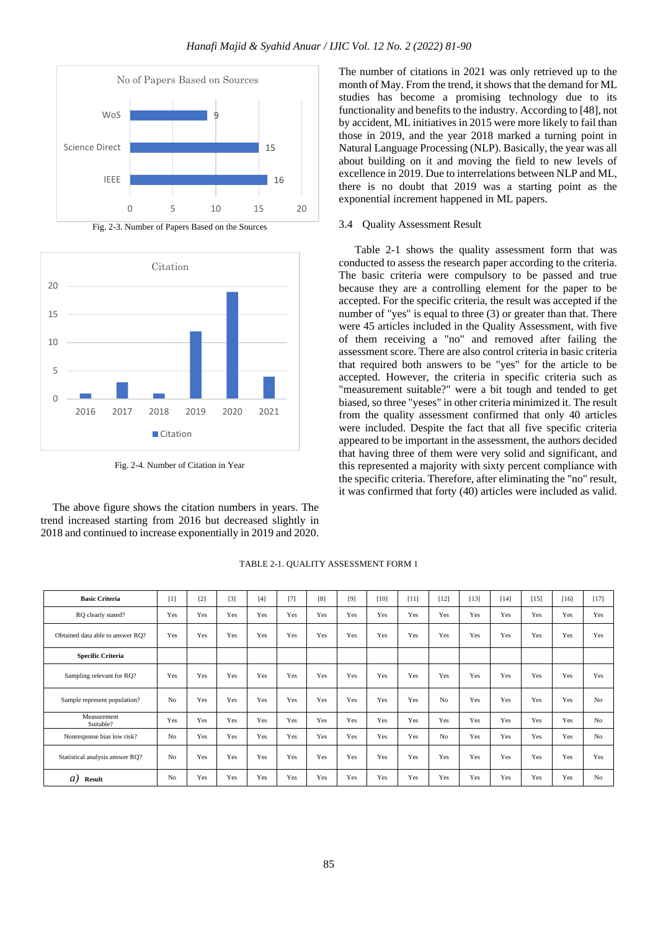

Fig. 2-3. Number of Papers Based on the Sources



Fig. 2-4. Number of Citation in Year

The above figure shows the citation numbers in years. The trend increased starting from 2016 but decreased slightly in 2018 and continued to increase exponentially in 2019 and 2020.

The number of citations in 2021 was only retrieved up to the month of May. From the trend, it shows that the demand for ML studies has become a promising technology due to its functionality and benefits to the industry. According to [48], not by accident, ML initiatives in 2015 were more likely to fail than those in 2019, and the year 2018 marked a turning point in Natural Language Processing (NLP). Basically, the year was all about building on it and moving the field to new levels of excellence in 2019. Due to interrelations between NLP and ML, there is no doubt that 2019 was a starting point as the exponential increment happened in ML papers.

## 3.4 Quality Assessment Result

Table 2-1 shows the quality assessment form that was conducted to assess the research paper according to the criteria. The basic criteria were compulsory to be passed and true because they are a controlling element for the paper to be accepted. For the specific criteria, the result was accepted if the number of "yes" is equal to three (3) or greater than that. There were 45 articles included in the Quality Assessment, with five of them receiving a "no" and removed after failing the assessment score. There are also control criteria in basic criteria that required both answers to be "yes" for the article to be accepted. However, the criteria in specific criteria such as "measurement suitable?" were a bit tough and tended to get biased, so three "yeses" in other criteria minimized it. The result from the quality assessment confirmed that only 40 articles were included. Despite the fact that all five specific criteria appeared to be important in the assessment, the authors decided that having three of them were very solid and significant, and this represented a majority with sixty percent compliance with the specific criteria. Therefore, after eliminating the "no" result, it was confirmed that forty (40) articles were included as valid.

| <b>Basic Criteria</b>            | [1]            | $[2]$ | $[3]$ | $[4]$ | $[7]$ | [8] | $[9]$ | $[10]$ | $[11]$ | $[12]$         | $[13]$ | $[14]$ | $[15]$ | $[16]$ | $[17]$         |
|----------------------------------|----------------|-------|-------|-------|-------|-----|-------|--------|--------|----------------|--------|--------|--------|--------|----------------|
| RQ clearly stated?               | Yes            | Yes   | Yes   | Yes   | Yes   | Yes | Yes   | Yes    | Yes    | Yes            | Yes    | Yes    | Yes    | Yes    | Yes            |
| Obtained data able to answer RQ? | Yes            | Yes   | Yes   | Yes   | Yes   | Yes | Yes   | Yes    | Yes    | Yes            | Yes    | Yes    | Yes    | Yes    | Yes            |
| <b>Specific Criteria</b>         |                |       |       |       |       |     |       |        |        |                |        |        |        |        |                |
| Sampling relevant for RQ?        | Yes            | Yes   | Yes   | Yes   | Yes   | Yes | Yes   | Yes    | Yes    | Yes            | Yes    | Yes    | Yes    | Yes    | Yes            |
| Sample represent population?     | N <sub>o</sub> | Yes   | Yes   | Yes   | Yes   | Yes | Yes   | Yes    | Yes    | No             | Yes    | Yes    | Yes    | Yes    | N <sub>o</sub> |
| Measurement<br>Suitable?         | Yes            | Yes   | Yes   | Yes   | Yes   | Yes | Yes   | Yes    | Yes    | Yes            | Yes    | Yes    | Yes    | Yes    | N <sub>o</sub> |
| Nonresponse bias low risk?       | No             | Yes   | Yes   | Yes   | Yes   | Yes | Yes   | Yes    | Yes    | N <sub>o</sub> | Yes    | Yes    | Yes    | Yes    | N <sub>o</sub> |
| Statistical analysis answer RQ?  | No             | Yes   | Yes   | Yes   | Yes   | Yes | Yes   | Yes    | Yes    | Yes            | Yes    | Yes    | Yes    | Yes    | Yes            |
| a)<br><b>Result</b>              | N <sub>0</sub> | Yes   | Yes   | Yes   | Yes   | Yes | Yes   | Yes    | Yes    | Yes            | Yes    | Yes    | Yes    | Yes    | N <sub>o</sub> |

TABLE 2-1. QUALITY ASSESSMENT FORM 1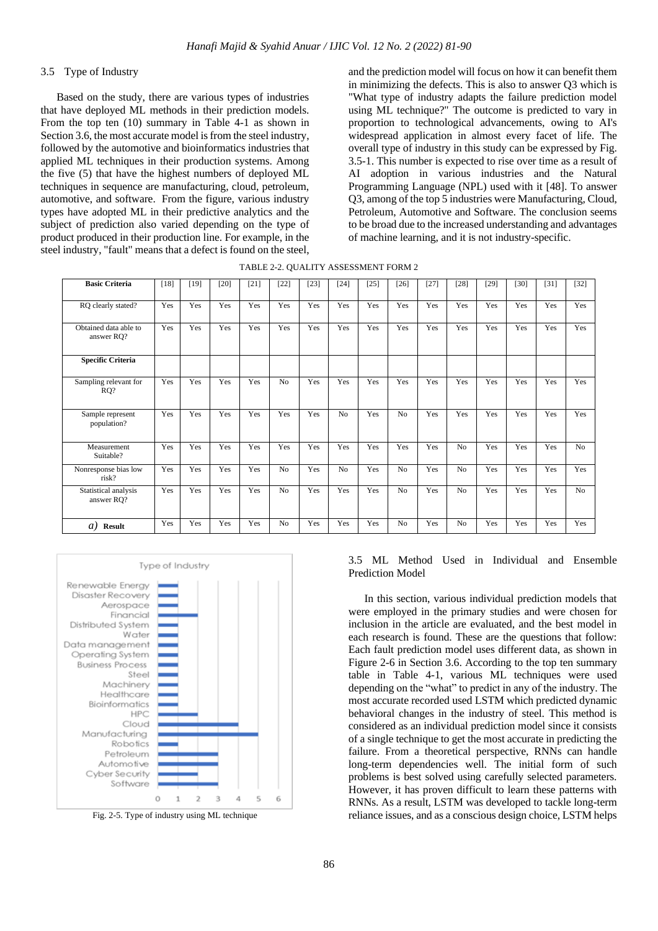# 3.5 Type of Industry

Based on the study, there are various types of industries that have deployed ML methods in their prediction models. From the top ten (10) summary in Table 4-1 as shown in Section 3.6, the most accurate model is from the steel industry, followed by the automotive and bioinformatics industries that applied ML techniques in their production systems. Among the five (5) that have the highest numbers of deployed ML techniques in sequence are manufacturing, cloud, petroleum, automotive, and software. From the figure, various industry types have adopted ML in their predictive analytics and the subject of prediction also varied depending on the type of product produced in their production line. For example, in the steel industry, "fault" means that a defect is found on the steel,

and the prediction model will focus on how it can benefit them in minimizing the defects. This is also to answer Q3 which is "What type of industry adapts the failure prediction model using ML technique?" The outcome is predicted to vary in proportion to technological advancements, owing to AI's widespread application in almost every facet of life. The overall type of industry in this study can be expressed by Fig. 3.5-1. This number is expected to rise over time as a result of AI adoption in various industries and the Natural Programming Language (NPL) used with it [48]. To answer Q3, among of the top 5 industries were Manufacturing, Cloud, Petroleum, Automotive and Software. The conclusion seems to be broad due to the increased understanding and advantages of machine learning, and it is not industry-specific.

| <b>Basic Criteria</b>               | $[18]$ | $[19]$ | [20] | [21] | $[22]$         | $[23]$ | $[24]$         | $[25]$ | $[26]$         | $[27]$ | $[28]$         | $[29]$ | $[30]$ | $[31]$ | $[32]$         |
|-------------------------------------|--------|--------|------|------|----------------|--------|----------------|--------|----------------|--------|----------------|--------|--------|--------|----------------|
| RQ clearly stated?                  | Yes    | Yes    | Yes  | Yes  | Yes            | Yes    | Yes            | Yes    | Yes            | Yes    | Yes            | Yes    | Yes    | Yes    | Yes            |
| Obtained data able to<br>answer RQ? | Yes    | Yes    | Yes  | Yes  | Yes            | Yes    | Yes            | Yes    | Yes            | Yes    | Yes            | Yes    | Yes    | Yes    | Yes            |
| <b>Specific Criteria</b>            |        |        |      |      |                |        |                |        |                |        |                |        |        |        |                |
| Sampling relevant for<br>$RQ$ ?     | Yes    | Yes    | Yes  | Yes  | N <sub>o</sub> | Yes    | Yes            | Yes    | Yes            | Yes    | Yes            | Yes    | Yes    | Yes    | Yes            |
| Sample represent<br>population?     | Yes    | Yes    | Yes  | Yes  | Yes            | Yes    | N <sub>o</sub> | Yes    | N <sub>o</sub> | Yes    | Yes            | Yes    | Yes    | Yes    | Yes            |
| Measurement<br>Suitable?            | Yes    | Yes    | Yes  | Yes  | Yes            | Yes    | Yes            | Yes    | Yes            | Yes    | N <sub>o</sub> | Yes    | Yes    | Yes    | N <sub>o</sub> |
| Nonresponse bias low<br>risk?       | Yes    | Yes    | Yes  | Yes  | N <sub>o</sub> | Yes    | No             | Yes    | N <sub>o</sub> | Yes    | N <sub>o</sub> | Yes    | Yes    | Yes    | Yes            |
| Statistical analysis<br>answer RQ?  | Yes    | Yes    | Yes  | Yes  | N <sub>o</sub> | Yes    | Yes            | Yes    | N <sub>o</sub> | Yes    | N <sub>o</sub> | Yes    | Yes    | Yes    | N <sub>o</sub> |
| a)<br><b>Result</b>                 | Yes    | Yes    | Yes  | Yes  | N <sub>o</sub> | Yes    | Yes            | Yes    | N <sub>o</sub> | Yes    | N <sub>o</sub> | Yes    | Yes    | Yes    | Yes            |



Fig. 2-5. Type of industry using ML technique

# 3.5 ML Method Used in Individual and Ensemble Prediction Model

In this section, various individual prediction models that were employed in the primary studies and were chosen for inclusion in the article are evaluated, and the best model in each research is found. These are the questions that follow: Each fault prediction model uses different data, as shown in Figure 2-6 in Section 3.6. According to the top ten summary table in Table 4-1, various ML techniques were used depending on the "what" to predict in any of the industry. The most accurate recorded used LSTM which predicted dynamic behavioral changes in the industry of steel. This method is considered as an individual prediction model since it consists of a single technique to get the most accurate in predicting the failure. From a theoretical perspective, RNNs can handle long-term dependencies well. The initial form of such problems is best solved using carefully selected parameters. However, it has proven difficult to learn these patterns with RNNs. As a result, LSTM was developed to tackle long-term reliance issues, and as a conscious design choice, LSTM helps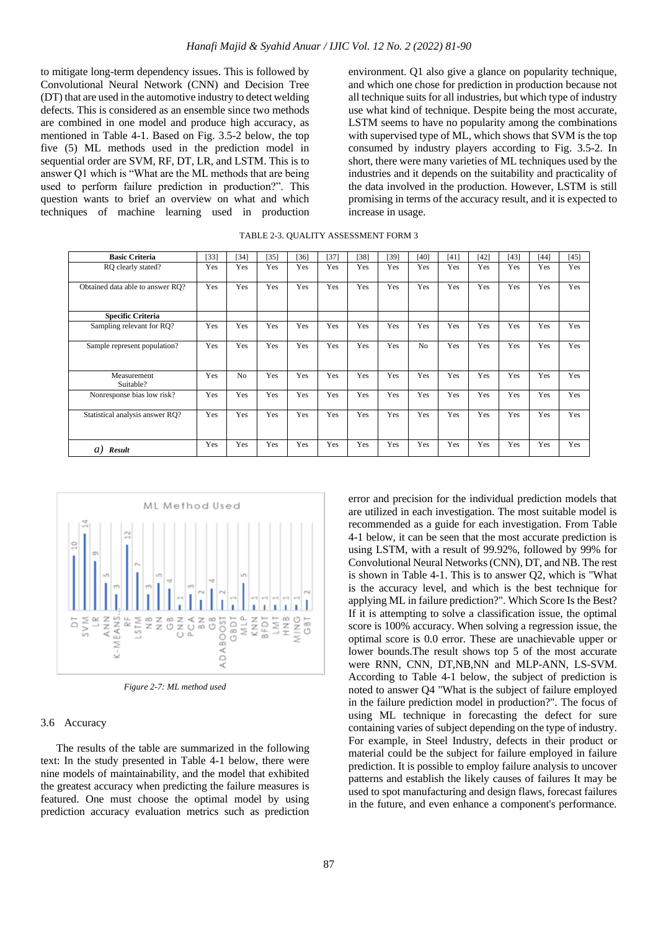to mitigate long-term dependency issues. This is followed by Convolutional Neural Network (CNN) and Decision Tree (DT) that are used in the automotive industry to detect welding defects. This is considered as an ensemble since two methods are combined in one model and produce high accuracy, as mentioned in Table 4-1. Based on Fig. 3.5-2 below, the top five (5) ML methods used in the prediction model in sequential order are SVM, RF, DT, LR, and LSTM. This is to answer Q1 which is "What are the ML methods that are being used to perform failure prediction in production?". This question wants to brief an overview on what and which techniques of machine learning used in production

environment. Q1 also give a glance on popularity technique, and which one chose for prediction in production because not all technique suits for all industries, but which type of industry use what kind of technique. Despite being the most accurate, LSTM seems to have no popularity among the combinations with supervised type of ML, which shows that SVM is the top consumed by industry players according to Fig. 3.5-2. In short, there were many varieties of ML techniques used by the industries and it depends on the suitability and practicality of the data involved in the production. However, LSTM is still promising in terms of the accuracy result, and it is expected to increase in usage.

| <b>Basic Criteria</b>            | [33] | [34]           | $[35]$ | $[36]$ | [37] | [38] | $[39]$ | $[40]$         | [41] | $[42]$ | [43] | $[44]$ | [45] |
|----------------------------------|------|----------------|--------|--------|------|------|--------|----------------|------|--------|------|--------|------|
| RO clearly stated?               | Yes  | Yes            | Yes    | Yes    | Yes  | Yes  | Yes    | Yes            | Yes  | Yes    | Yes  | Yes    | Yes  |
| Obtained data able to answer RO? | Yes  | Yes            | Yes    | Yes    | Yes  | Yes  | Yes    | Yes            | Yes  | Yes    | Yes  | Yes    | Yes  |
| <b>Specific Criteria</b>         |      |                |        |        |      |      |        |                |      |        |      |        |      |
| Sampling relevant for RO?        | Yes  | Yes            | Yes    | Yes    | Yes  | Yes  | Yes    | Yes            | Yes  | Yes    | Yes  | Yes    | Yes  |
| Sample represent population?     | Yes  | Yes            | Yes    | Yes    | Yes  | Yes  | Yes    | N <sub>0</sub> | Yes  | Yes    | Yes  | Yes    | Yes  |
| Measurement<br>Suitable?         | Yes  | N <sub>o</sub> | Yes    | Yes    | Yes  | Yes  | Yes    | Yes            | Yes  | Yes    | Yes  | Yes    | Yes  |
| Nonresponse bias low risk?       | Yes  | Yes            | Yes    | Yes    | Yes  | Yes  | Yes    | Yes            | Yes  | Yes    | Yes  | Yes    | Yes  |
| Statistical analysis answer RO?  | Yes  | Yes            | Yes    | Yes    | Yes  | Yes  | Yes    | Yes            | Yes  | Yes    | Yes  | Yes    | Yes  |
| $\overline{a}$<br>Result         | Yes  | Yes            | Yes    | Yes    | Yes  | Yes  | Yes    | Yes            | Yes  | Yes    | Yes  | Yes    | Yes  |



*Figure 2-7: ML method used*

## 3.6 Accuracy

The results of the table are summarized in the following text: In the study presented in Table 4-1 below, there were nine models of maintainability, and the model that exhibited the greatest accuracy when predicting the failure measures is featured. One must choose the optimal model by using prediction accuracy evaluation metrics such as prediction error and precision for the individual prediction models that are utilized in each investigation. The most suitable model is recommended as a guide for each investigation. From Table 4-1 below, it can be seen that the most accurate prediction is using LSTM, with a result of 99.92%, followed by 99% for Convolutional Neural Networks (CNN), DT, and NB. The rest is shown in Table 4-1. This is to answer Q2, which is "What is the accuracy level, and which is the best technique for applying ML in failure prediction?". Which Score Is the Best? If it is attempting to solve a classification issue, the optimal score is 100% accuracy. When solving a regression issue, the optimal score is 0.0 error. These are unachievable upper or lower bounds.The result shows top 5 of the most accurate were RNN, CNN, DT,NB,NN and MLP-ANN, LS-SVM. According to Table 4-1 below, the subject of prediction is noted to answer Q4 "What is the subject of failure employed in the failure prediction model in production?". The focus of using ML technique in forecasting the defect for sure containing varies of subject depending on the type of industry. For example, in Steel Industry, defects in their product or material could be the subject for failure employed in failure prediction. It is possible to employ failure analysis to uncover patterns and establish the likely causes of failures It may be used to spot manufacturing and design flaws, forecast failures in the future, and even enhance a component's performance.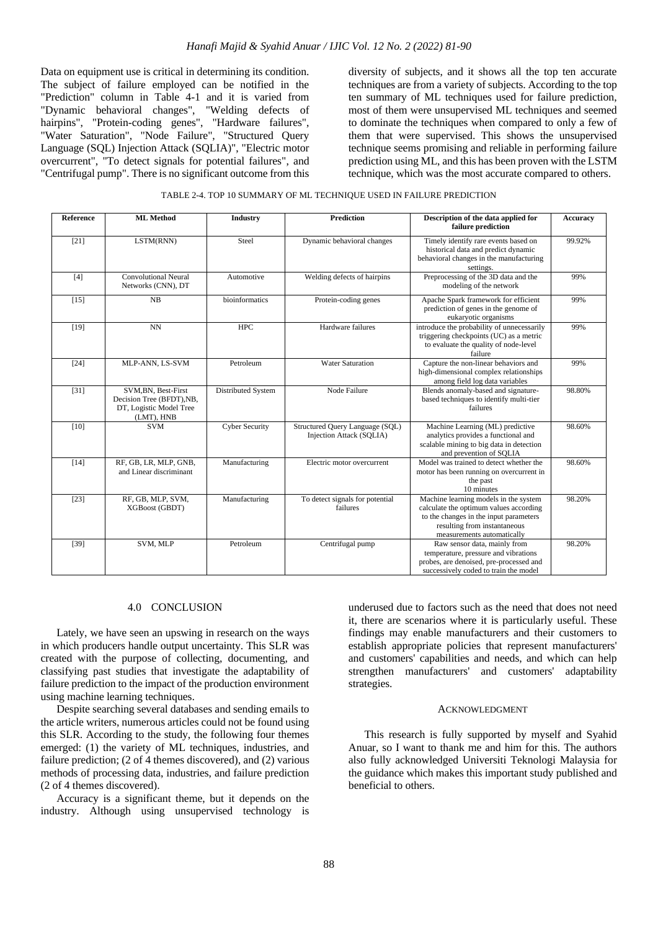Data on equipment use is critical in determining its condition. The subject of failure employed can be notified in the "Prediction" column in Table 4-1 and it is varied from "Dynamic behavioral changes", "Welding defects of hairpins", "Protein-coding genes", "Hardware failures", "Water Saturation", "Node Failure", "Structured Query Language (SQL) Injection Attack (SQLIA)", "Electric motor overcurrent", "To detect signals for potential failures", and "Centrifugal pump". There is no significant outcome from this

diversity of subjects, and it shows all the top ten accurate techniques are from a variety of subjects. According to the top ten summary of ML techniques used for failure prediction, most of them were unsupervised ML techniques and seemed to dominate the techniques when compared to only a few of them that were supervised. This shows the unsupervised technique seems promising and reliable in performing failure prediction using ML, and this has been proven with the LSTM technique, which was the most accurate compared to others.

| TABLE 2-4. TOP 10 SUMMARY OF ML TECHNIQUE USED IN FAILURE PREDICTION |  |  |
|----------------------------------------------------------------------|--|--|
|----------------------------------------------------------------------|--|--|

| <b>Reference</b> | <b>ML</b> Method                                                                          | <b>Industry</b>       | <b>Prediction</b>                                           | Description of the data applied for<br>failure prediction                                                                                                                               | Accuracy |
|------------------|-------------------------------------------------------------------------------------------|-----------------------|-------------------------------------------------------------|-----------------------------------------------------------------------------------------------------------------------------------------------------------------------------------------|----------|
| $[21]$           | LSTM(RNN)                                                                                 | Steel                 | Dynamic behavioral changes                                  | Timely identify rare events based on<br>historical data and predict dynamic<br>behavioral changes in the manufacturing<br>settings.                                                     | 99.92%   |
| [4]              | <b>Convolutional Neural</b><br>Networks (CNN), DT                                         | Automotive            | Welding defects of hairpins                                 | Preprocessing of the 3D data and the<br>modeling of the network                                                                                                                         | 99%      |
| $[15]$           | NB                                                                                        | bioinformatics        | Protein-coding genes                                        | Apache Spark framework for efficient<br>prediction of genes in the genome of<br>eukaryotic organisms                                                                                    | 99%      |
| $[19]$           | <b>NN</b>                                                                                 | <b>HPC</b>            | Hardware failures                                           | introduce the probability of unnecessarily<br>triggering checkpoints (UC) as a metric<br>to evaluate the quality of node-level<br>failure                                               | 99%      |
| $[24]$           | MLP-ANN, LS-SVM                                                                           | Petroleum             | <b>Water Saturation</b>                                     | Capture the non-linear behaviors and<br>high-dimensional complex relationships<br>among field log data variables                                                                        | 99%      |
| $[31]$           | SVM, BN, Best-First<br>Decision Tree (BFDT), NB,<br>DT, Logistic Model Tree<br>(LMT), HNB | Distributed System    | Node Failure                                                | Blends anomaly-based and signature-<br>based techniques to identify multi-tier<br>failures                                                                                              | 98.80%   |
| $[10]$           | <b>SVM</b>                                                                                | <b>Cyber Security</b> | Structured Query Language (SQL)<br>Injection Attack (SQLIA) | Machine Learning (ML) predictive<br>analytics provides a functional and<br>scalable mining to big data in detection<br>and prevention of SOLIA                                          | 98.60%   |
| $[14]$           | RF, GB, LR, MLP, GNB,<br>and Linear discriminant                                          | Manufacturing         | Electric motor overcurrent                                  | Model was trained to detect whether the<br>motor has been running on overcurrent in<br>the past<br>10 minutes                                                                           | 98.60%   |
| $[23]$           | RF, GB, MLP, SVM,<br>XGBoost (GBDT)                                                       | Manufacturing         | To detect signals for potential<br>failures                 | Machine learning models in the system<br>calculate the optimum values according<br>to the changes in the input parameters<br>resulting from instantaneous<br>measurements automatically | 98.20%   |
| $[39]$           | SVM, MLP                                                                                  | Petroleum             | Centrifugal pump                                            | Raw sensor data, mainly from<br>temperature, pressure and vibrations<br>probes, are denoised, pre-processed and<br>successively coded to train the model                                | 98.20%   |

#### 4.0 CONCLUSION

Lately, we have seen an upswing in research on the ways in which producers handle output uncertainty. This SLR was created with the purpose of collecting, documenting, and classifying past studies that investigate the adaptability of failure prediction to the impact of the production environment using machine learning techniques.

Despite searching several databases and sending emails to the article writers, numerous articles could not be found using this SLR. According to the study, the following four themes emerged: (1) the variety of ML techniques, industries, and failure prediction; (2 of 4 themes discovered), and (2) various methods of processing data, industries, and failure prediction (2 of 4 themes discovered).

Accuracy is a significant theme, but it depends on the industry. Although using unsupervised technology is

underused due to factors such as the need that does not need it, there are scenarios where it is particularly useful. These findings may enable manufacturers and their customers to establish appropriate policies that represent manufacturers' and customers' capabilities and needs, and which can help strengthen manufacturers' and customers' adaptability strategies.

#### ACKNOWLEDGMENT

This research is fully supported by myself and Syahid Anuar, so I want to thank me and him for this. The authors also fully acknowledged Universiti Teknologi Malaysia for the guidance which makes this important study published and beneficial to others.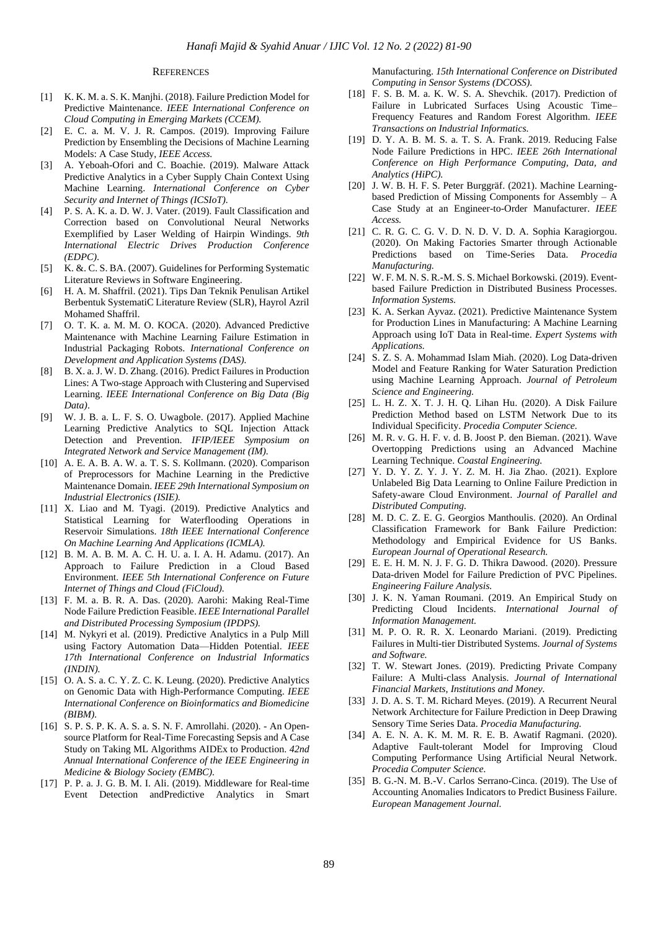## **REFERENCES**

- [1] K. K. M. a. S. K. Manjhi. (2018). Failure Prediction Model for Predictive Maintenance. *IEEE International Conference on Cloud Computing in Emerging Markets (CCEM).*
- [2] E. C. a. M. V. J. R. Campos. (2019). Improving Failure Prediction by Ensembling the Decisions of Machine Learning Models: A Case Study, *IEEE Access.*
- [3] A. Yeboah-Ofori and C. Boachie. (2019). Malware Attack Predictive Analytics in a Cyber Supply Chain Context Using Machine Learning. *International Conference on Cyber Security and Internet of Things (ICSIoT).*
- [4] P. S. A. K. a. D. W. J. Vater. (2019). Fault Classification and Correction based on Convolutional Neural Networks Exemplified by Laser Welding of Hairpin Windings. *9th International Electric Drives Production Conference (EDPC)*.
- [5] K. &. C. S. BA. (2007). Guidelines for Performing Systematic Literature Reviews in Software Engineering.
- [6] H. A. M. Shaffril. (2021). Tips Dan Teknik Penulisan Artikel Berbentuk SystematiC Literature Review (SLR), Hayrol Azril Mohamed Shaffril.
- [7] O. T. K. a. M. M. O. KOCA. (2020). Advanced Predictive Maintenance with Machine Learning Failure Estimation in Industrial Packaging Robots. *International Conference on Development and Application Systems (DAS).*
- [8] B. X. a. J. W. D. Zhang. (2016). Predict Failures in Production Lines: A Two-stage Approach with Clustering and Supervised Learning. *IEEE International Conference on Big Data (Big Data)*.
- [9] W. J. B. a. L. F. S. O. Uwagbole. (2017). Applied Machine Learning Predictive Analytics to SQL Injection Attack Detection and Prevention. *IFIP/IEEE Symposium on Integrated Network and Service Management (IM).*
- [10] A. E. A. B. A. W. a. T. S. S. Kollmann. (2020). Comparison of Preprocessors for Machine Learning in the Predictive Maintenance Domain. *IEEE 29th International Symposium on Industrial Electronics (ISIE).*
- [11] X. Liao and M. Tyagi. (2019). Predictive Analytics and Statistical Learning for Waterflooding Operations in Reservoir Simulations. *18th IEEE International Conference On Machine Learning And Applications (ICMLA).*
- [12] B. M. A. B. M. A. C. H. U. a. I. A. H. Adamu. (2017). An Approach to Failure Prediction in a Cloud Based Environment. *IEEE 5th International Conference on Future Internet of Things and Cloud (FiCloud).*
- [13] F. M. a. B. R. A. Das. (2020). Aarohi: Making Real-Time Node Failure Prediction Feasible. *IEEE International Parallel and Distributed Processing Symposium (IPDPS).*
- [14] M. Nykyri et al. (2019). Predictive Analytics in a Pulp Mill using Factory Automation Data—Hidden Potential. *IEEE 17th International Conference on Industrial Informatics (INDIN).*
- [15] O. A. S. a. C. Y. Z. C. K. Leung. (2020). Predictive Analytics on Genomic Data with High-Performance Computing. *IEEE International Conference on Bioinformatics and Biomedicine (BIBM).*
- [16] S. P. S. P. K. A. S. a. S. N. F. Amrollahi. (2020). An Opensource Platform for Real-Time Forecasting Sepsis and A Case Study on Taking ML Algorithms AIDEx to Production. *42nd Annual International Conference of the IEEE Engineering in Medicine & Biology Society (EMBC).*
- [17] P. P. a. J. G. B. M. I. Ali. (2019). Middleware for Real-time Event Detection andPredictive Analytics in Smart

Manufacturing. *15th International Conference on Distributed Computing in Sensor Systems (DCOSS).*

- [18] F. S. B. M. a. K. W. S. A. Shevchik. (2017). Prediction of Failure in Lubricated Surfaces Using Acoustic Time– Frequency Features and Random Forest Algorithm. *IEEE Transactions on Industrial Informatics.*
- [19] D. Y. A. B. M. S. a. T. S. A. Frank. 2019. Reducing False Node Failure Predictions in HPC. *IEEE 26th International Conference on High Performance Computing, Data, and Analytics (HiPC).*
- [20] J. W. B. H. F. S. Peter Burggräf. (2021). Machine Learningbased Prediction of Missing Components for Assembly – A Case Study at an Engineer-to-Order Manufacturer. *IEEE Access.*
- [21] C. R. G. C. G. V. D. N. D. V. D. A. Sophia Karagiorgou. (2020). On Making Factories Smarter through Actionable Predictions based on Time-Series Data. *Procedia Manufacturing.*
- [22] W. F. M. N. S. R.-M. S. S. Michael Borkowski. (2019). Eventbased Failure Prediction in Distributed Business Processes. *Information Systems.*
- [23] K. A. Serkan Ayvaz. (2021). Predictive Maintenance System for Production Lines in Manufacturing: A Machine Learning Approach using IoT Data in Real-time. *Expert Systems with Applications.*
- [24] S. Z. S. A. Mohammad Islam Miah. (2020). Log Data-driven Model and Feature Ranking for Water Saturation Prediction using Machine Learning Approach. *Journal of Petroleum Science and Engineering.*
- [25] L. H. Z. X. T. J. H. Q. Lihan Hu. (2020). A Disk Failure Prediction Method based on LSTM Network Due to its Individual Specificity. *Procedia Computer Science.*
- [26] M. R. v. G. H. F. v. d. B. Joost P. den Bieman. (2021). Wave Overtopping Predictions using an Advanced Machine Learning Technique. *Coastal Engineering.*
- [27] Y. D. Y. Z. Y. J. Y. Z. M. H. Jia Zhao. (2021). Explore Unlabeled Big Data Learning to Online Failure Prediction in Safety-aware Cloud Environment. *Journal of Parallel and Distributed Computing.*
- [28] M. D. C. Z. E. G. Georgios Manthoulis. (2020). An Ordinal Classification Framework for Bank Failure Prediction: Methodology and Empirical Evidence for US Banks. *European Journal of Operational Research.*
- [29] E. E. H. M. N. J. F. G. D. Thikra Dawood. (2020). Pressure Data-driven Model for Failure Prediction of PVC Pipelines. *Engineering Failure Analysis.*
- [30] J. K. N. Yaman Roumani. (2019. An Empirical Study on Predicting Cloud Incidents. *International Journal of Information Management.*
- [31] M. P. O. R. R. X. Leonardo Mariani. (2019). Predicting Failures in Multi-tier Distributed Systems. *Journal of Systems and Software.*
- [32] T. W. Stewart Jones. (2019). Predicting Private Company Failure: A Multi-class Analysis. *Journal of International Financial Markets, Institutions and Money.*
- [33] J. D. A. S. T. M. Richard Meyes. (2019). A Recurrent Neural Network Architecture for Failure Prediction in Deep Drawing Sensory Time Series Data. *Procedia Manufacturing.*
- [34] A. E. N. A. K. M. M. R. E. B. Awatif Ragmani. (2020). Adaptive Fault-tolerant Model for Improving Cloud Computing Performance Using Artificial Neural Network. *Procedia Computer Science.*
- [35] B. G.-N. M. B.-V. Carlos Serrano-Cinca. (2019). The Use of Accounting Anomalies Indicators to Predict Business Failure. *European Management Journal.*